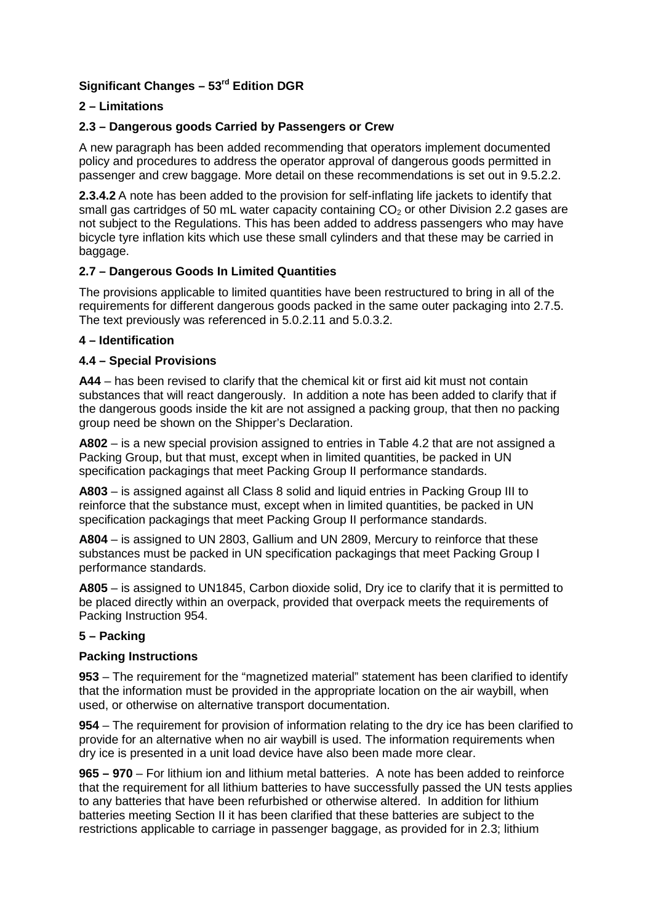# **Significant Changes – 53rd Edition DGR**

## **2 – Limitations**

### **2.3 – Dangerous goods Carried by Passengers or Crew**

A new paragraph has been added recommending that operators implement documented policy and procedures to address the operator approval of dangerous goods permitted in passenger and crew baggage. More detail on these recommendations is set out in 9.5.2.2.

**2.3.4.2** A note has been added to the provision for self-inflating life jackets to identify that small gas cartridges of 50 mL water capacity containing  $CO<sub>2</sub>$  or other Division 2.2 gases are not subject to the Regulations. This has been added to address passengers who may have bicycle tyre inflation kits which use these small cylinders and that these may be carried in baggage.

#### **2.7 – Dangerous Goods In Limited Quantities**

The provisions applicable to limited quantities have been restructured to bring in all of the requirements for different dangerous goods packed in the same outer packaging into 2.7.5. The text previously was referenced in 5.0.2.11 and 5.0.3.2.

#### **4 – Identification**

### **4.4 – Special Provisions**

**A44** – has been revised to clarify that the chemical kit or first aid kit must not contain substances that will react dangerously. In addition a note has been added to clarify that if the dangerous goods inside the kit are not assigned a packing group, that then no packing group need be shown on the Shipper's Declaration.

**A802** – is a new special provision assigned to entries in Table 4.2 that are not assigned a Packing Group, but that must, except when in limited quantities, be packed in UN specification packagings that meet Packing Group II performance standards.

**A803** – is assigned against all Class 8 solid and liquid entries in Packing Group III to reinforce that the substance must, except when in limited quantities, be packed in UN specification packagings that meet Packing Group II performance standards.

**A804** – is assigned to UN 2803, Gallium and UN 2809, Mercury to reinforce that these substances must be packed in UN specification packagings that meet Packing Group I performance standards.

**A805** – is assigned to UN1845, Carbon dioxide solid, Dry ice to clarify that it is permitted to be placed directly within an overpack, provided that overpack meets the requirements of Packing Instruction 954.

#### **5 – Packing**

#### **Packing Instructions**

**953** – The requirement for the "magnetized material" statement has been clarified to identify that the information must be provided in the appropriate location on the air waybill, when used, or otherwise on alternative transport documentation.

**954** – The requirement for provision of information relating to the dry ice has been clarified to provide for an alternative when no air waybill is used. The information requirements when dry ice is presented in a unit load device have also been made more clear.

**965 – 970** – For lithium ion and lithium metal batteries. A note has been added to reinforce that the requirement for all lithium batteries to have successfully passed the UN tests applies to any batteries that have been refurbished or otherwise altered. In addition for lithium batteries meeting Section II it has been clarified that these batteries are subject to the restrictions applicable to carriage in passenger baggage, as provided for in 2.3; lithium